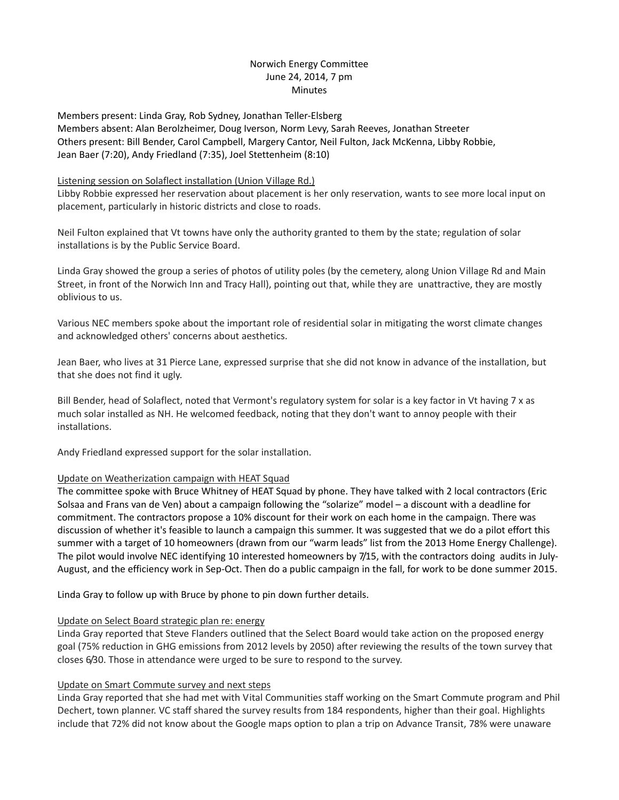# Norwich Energy Committee June 24, 2014, 7 pm Minutes

Members present: Linda Gray, Rob Sydney, Jonathan Teller‐Elsberg Members absent: Alan Berolzheimer, Doug Iverson, Norm Levy, Sarah Reeves, Jonathan Streeter Others present: Bill Bender, Carol Campbell, Margery Cantor, Neil Fulton, Jack McKenna, Libby Robbie, Jean Baer (7:20), Andy Friedland (7:35), Joel Stettenheim (8:10)

### Listening session on Solaflect installation (Union Village Rd.)

Libby Robbie expressed her reservation about placement is her only reservation, wants to see more local input on placement, particularly in historic districts and close to roads.

Neil Fulton explained that Vt towns have only the authority granted to them by the state; regulation of solar installations is by the Public Service Board.

Linda Gray showed the group a series of photos of utility poles (by the cemetery, along Union Village Rd and Main Street, in front of the Norwich Inn and Tracy Hall), pointing out that, while they are unattractive, they are mostly oblivious to us.

Various NEC members spoke about the important role of residential solar in mitigating the worst climate changes and acknowledged others' concerns about aesthetics.

Jean Baer, who lives at 31 Pierce Lane, expressed surprise that she did not know in advance of the installation, but that she does not find it ugly.

Bill Bender, head of Solaflect, noted that Vermont's regulatory system for solar is a key factor in Vt having 7 x as much solar installed as NH. He welcomed feedback, noting that they don't want to annoy people with their installations.

Andy Friedland expressed support for the solar installation.

# Update on Weatherization campaign with HEAT Squad

The committee spoke with Bruce Whitney of HEAT Squad by phone. They have talked with 2 local contractors (Eric Solsaa and Frans van de Ven) about a campaign following the "solarize" model – a discount with a deadline for commitment. The contractors propose a 10% discount for their work on each home in the campaign. There was discussion of whether it's feasible to launch a campaign this summer. It was suggested that we do a pilot effort this summer with a target of 10 homeowners (drawn from our "warm leads" list from the 2013 Home Energy Challenge). The pilot would involve NEC identifying 10 interested homeowners by 7/15, with the contractors doing audits in July-August, and the efficiency work in Sep‐Oct. Then do a public campaign in the fall, for work to be done summer 2015.

Linda Gray to follow up with Bruce by phone to pin down further details.

#### Update on Select Board strategic plan re: energy

Linda Gray reported that Steve Flanders outlined that the Select Board would take action on the proposed energy goal (75% reduction in GHG emissions from 2012 levels by 2050) after reviewing the results of the town survey that closes 6/30. Those in attendance were urged to be sure to respond to the survey.

#### Update on Smart Commute survey and next steps

Linda Gray reported that she had met with Vital Communities staff working on the Smart Commute program and Phil Dechert, town planner. VC staff shared the survey results from 184 respondents, higher than their goal. Highlights include that 72% did not know about the Google maps option to plan a trip on Advance Transit, 78% were unaware